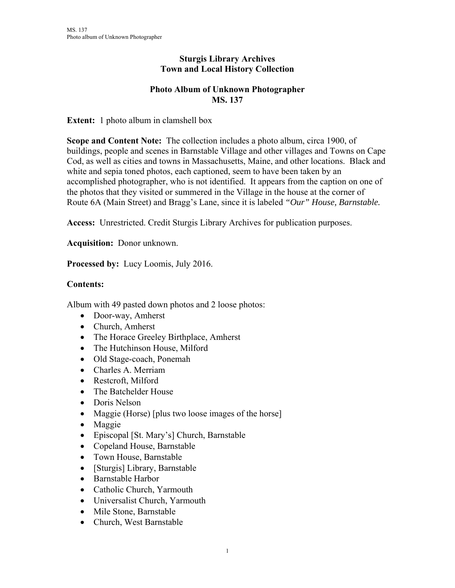## **Sturgis Library Archives Town and Local History Collection**

## **Photo Album of Unknown Photographer MS. 137**

**Extent:** 1 photo album in clamshell box

**Scope and Content Note:** The collection includes a photo album, circa 1900, of buildings, people and scenes in Barnstable Village and other villages and Towns on Cape Cod, as well as cities and towns in Massachusetts, Maine, and other locations. Black and white and sepia toned photos, each captioned, seem to have been taken by an accomplished photographer, who is not identified. It appears from the caption on one of the photos that they visited or summered in the Village in the house at the corner of Route 6A (Main Street) and Bragg's Lane, since it is labeled *"Our" House, Barnstable.* 

**Access:** Unrestricted. Credit Sturgis Library Archives for publication purposes.

**Acquisition:** Donor unknown.

**Processed by:** Lucy Loomis, July 2016.

## **Contents:**

Album with 49 pasted down photos and 2 loose photos:

- Door-way, Amherst
- Church, Amherst
- The Horace Greeley Birthplace, Amherst
- The Hutchinson House, Milford
- Old Stage-coach, Ponemah
- Charles A. Merriam
- Restcroft, Milford
- The Batchelder House
- Doris Nelson
- Maggie (Horse) [plus two loose images of the horse]
- Maggie
- Episcopal [St. Mary's] Church, Barnstable
- Copeland House, Barnstable
- Town House, Barnstable
- [Sturgis] Library, Barnstable
- Barnstable Harbor
- Catholic Church, Yarmouth
- Universalist Church, Yarmouth
- Mile Stone, Barnstable
- Church, West Barnstable